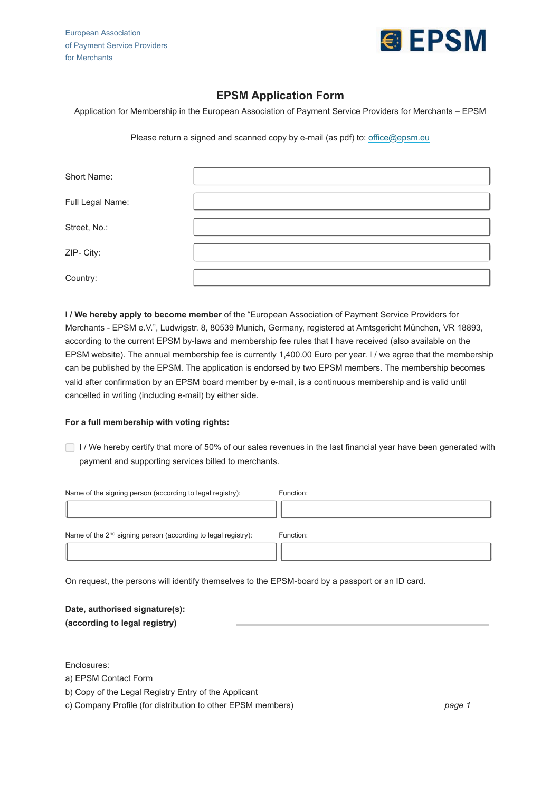European Association of Payment Service Providers for Merchants



## **EPSM Application Form**

Application for Membership in the European Association of Payment Service Providers for Merchants – EPSM

Please return a signed and scanned copy by e-mail (as pdf) to: [office@epsm.eu](mailto:office@epsm.eu)

| Short Name:      |  |
|------------------|--|
| Full Legal Name: |  |
| Street, No.:     |  |
| ZIP- City:       |  |
| Country:         |  |

**I / We hereby apply to become member** of the "European Association of Payment Service Providers for Merchants - EPSM e.V.", Ludwigstr. 8, 80539 Munich, Germany, registered at Amtsgericht München, VR 18893, according to the current EPSM by-laws and membership fee rules that I have received (also available on the EPSM website). The annual membership fee is currently 1,400.00 Euro per year. I / we agree that the membership can be published by the EPSM. The application is endorsed by two EPSM members. The membership becomes valid after confirmation by an EPSM board member by e-mail, is a continuous membership and is valid until cancelled in writing (including e-mail) by either side.

## **For a full membership with voting rights:**

I I / We hereby certify that more of 50% of our sales revenues in the last financial year have been generated with payment and supporting services billed to merchants.

| Name of the signing person (according to legal registry):                 | Function: |
|---------------------------------------------------------------------------|-----------|
|                                                                           |           |
| Name of the 2 <sup>nd</sup> signing person (according to legal registry): | Function: |
|                                                                           |           |

On request, the persons will identify themselves to the EPSM-board by a passport or an ID card.

**Date, authorised signature(s): (according to legal registry)**

Enclosures:

- a) EPSM Contact Form
- b) Copy of the Legal Registry Entry of the Applicant

c) Company Profile (for distribution to other EPSM members)